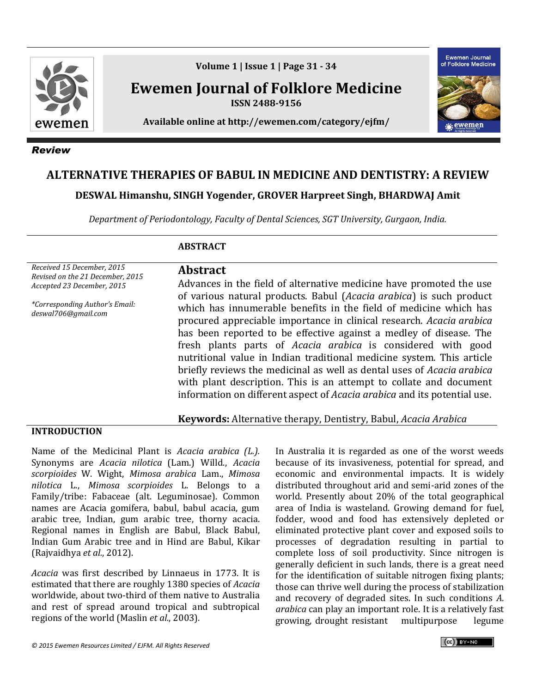

*Review*

**Volume 1 | Issue 1 | Page 31 - 34**

**Ewemen Journal of Folklore Medicine ISSN 2488-9156**

**Available online at http://ewemen.com/category/ejfm/**



# **ALTERNATIVE THERAPIES OF BABUL IN MEDICINE AND DENTISTRY: A REVIEW**

**DESWAL Himanshu, SINGH Yogender, GROVER Harpreet Singh, BHARDWAJ Amit**

*Department of Periodontology, Faculty of Dental Sciences, SGT University, Gurgaon, India.*

# **ABSTRACT**

*Received 15 December, 2015 Revised on the 21 December, 2015 Accepted 23 December, 2015*

*\*Corresponding Author's Email: deswal706@gmail.com*

**Abstract** Advances in the field of alternative medicine have promoted the use of various natural products. Babul (*Acacia arabica*) is such product which has innumerable benefits in the field of medicine which has procured appreciable importance in clinical research. *Acacia arabica*  has been reported to be effective against a medley of disease. The fresh plants parts of *Acacia arabica* is considered with good nutritional value in Indian traditional medicine system. This article briefly reviews the medicinal as well as dental uses of *Acacia arabica*  with plant description. This is an attempt to collate and document information on different aspect of *Acacia arabica* and its potential use.

**Keywords:** Alternative therapy, Dentistry, Babul, *Acacia Arabica*

#### **INTRODUCTION**

Name of the Medicinal Plant is *Acacia arabica (L.).*  Synonyms are *Acacia nilotica* (Lam.) Willd., *Acacia scorpioides* W. Wight, *Mimosa arabica* Lam., *Mimosa nilotica* L., *Mimosa scorpioides* L. Belongs to a Family/tribe: Fabaceae (alt. Leguminosae). Common names are Acacia gomifera, babul, babul acacia, gum arabic tree, Indian, gum arabic tree, thorny acacia. Regional names in English are Babul, Black Babul, Indian Gum Arabic tree and in Hind are Babul, Kikar (Rajvaidhya *et al.*, 2012).

*Acacia* was first described by Linnaeus in 1773. It is estimated that there are roughly 1380 species of *Acacia* worldwide, about two-third of them native to Australia and rest of spread around tropical and subtropical regions of the world (Maslin *et al.*, 2003).

In Australia it is regarded as one of the worst weeds because of its invasiveness, potential for spread, and economic and environmental impacts. It is widely distributed throughout arid and semi-arid zones of the world. Presently about 20% of the total geographical area of India is wasteland. Growing demand for fuel, fodder, wood and food has extensively depleted or eliminated protective plant cover and exposed soils to processes of degradation resulting in partial to complete loss of soil productivity. Since nitrogen is generally deficient in such lands, there is a great need for the identification of suitable nitrogen fixing plants; those can thrive well during the process of stabilization and recovery of degraded sites. In such conditions *A. arabica* can play an important role. It is a relatively fast growing, drought resistant multipurpose legume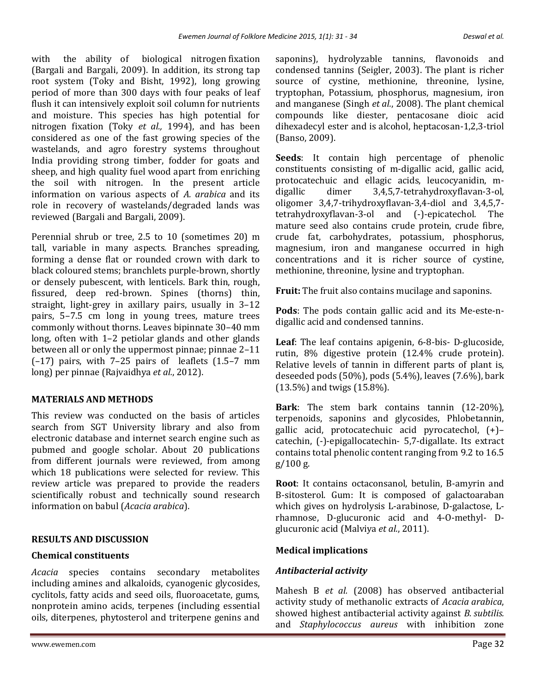with the ability of biological nitrogen fixation (Bargali and Bargali, 2009). In addition, its strong tap root system (Toky and Bisht, 1992), long growing period of more than 300 days with four peaks of leaf flush it can intensively exploit soil column for nutrients and moisture. This species has high potential for nitrogen fixation (Toky *et al.,* 1994), and has been considered as one of the fast growing species of the wastelands, and agro forestry systems throughout India providing strong timber, fodder for goats and sheep, and high quality fuel wood apart from enriching the soil with nitrogen. In the present article information on various aspects of *A. arabica* and its role in recovery of wastelands/degraded lands was reviewed (Bargali and Bargali, 2009).

Perennial shrub or tree, 2.5 to 10 (sometimes 20) m tall, variable in many aspects. Branches spreading, forming a dense flat or rounded crown with dark to black coloured stems; branchlets purple-brown, shortly or densely pubescent, with lenticels. Bark thin, rough, fissured, deep red-brown. Spines (thorns) thin, straight, light-grey in axillary pairs, usually in 3–12 pairs, 5–7.5 cm long in young trees, mature trees commonly without thorns. Leaves bipinnate 30–40 mm long, often with 1–2 petiolar glands and other glands between all or only the uppermost pinnae; pinnae 2–11 (–17) pairs, with 7–25 pairs of leaflets (1.5–7 mm long) per pinnae (Rajvaidhya *et al.*, 2012).

# **MATERIALS AND METHODS**

This review was conducted on the basis of articles search from SGT University library and also from electronic database and internet search engine such as pubmed and google scholar. About 20 publications from different journals were reviewed, from among which 18 publications were selected for review. This review article was prepared to provide the readers scientifically robust and technically sound research information on babul (*Acacia arabica*).

# **RESULTS AND DISCUSSION**

#### **Chemical constituents**

*Acacia* species contains secondary metabolites including amines and alkaloids, cyanogenic glycosides, cyclitols, fatty acids and seed oils, fluoroacetate, gums, nonprotein amino acids, terpenes (including essential oils, diterpenes, phytosterol and triterpene genins and saponins), hydrolyzable tannins, flavonoids and condensed tannins (Seigler, 2003). The plant is richer source of cystine, methionine, threonine, lysine, tryptophan, Potassium, phosphorus, magnesium, iron and manganese (Singh *et al.*, 2008). The plant chemical compounds like diester, pentacosane dioic acid dihexadecyl ester and is alcohol, heptacosan-1,2,3-triol (Banso, 2009).

**Seeds**: It contain high percentage of phenolic constituents consisting of m-digallic acid, gallic acid, protocatechuic and ellagic acids, leucocyanidin, mdigallic dimer 3,4,5,7-tetrahydroxyflavan-3-ol, oligomer 3,4,7-trihydroxyflavan-3,4-diol and 3,4,5,7 tetrahydroxyflavan-3-ol and (-)-epicatechol. The mature seed also contains crude protein, crude fibre, crude fat, carbohydrates, potassium, phosphorus, magnesium, iron and manganese occurred in high concentrations and it is richer source of cystine, methionine, threonine, lysine and tryptophan.

**Fruit:** The fruit also contains mucilage and saponins.

**Pods**: The pods contain gallic acid and its Me-este-ndigallic acid and condensed tannins.

**Leaf**: The leaf contains apigenin, 6-8-bis- D-glucoside, rutin, 8% digestive protein (12.4% crude protein). Relative levels of tannin in different parts of plant is, deseeded pods (50%), pods (5.4%), leaves (7.6%), bark (13.5%) and twigs (15.8%).

**Bark**: The stem bark contains tannin (12-20%), terpenoids, saponins and glycosides, Phlobetannin, gallic acid, protocatechuic acid pyrocatechol, (+)– catechin, (-)-epigallocatechin- 5,7-digallate. Its extract contains total phenolic content ranging from 9.2 to 16.5 g/100 g.

**Root**: It contains octaconsanol, betulin, B-amyrin and B-sitosterol. Gum: It is composed of galactoaraban which gives on hydrolysis L-arabinose, D-galactose, Lrhamnose, D-glucuronic acid and 4-O-methyl- Dglucuronic acid (Malviya *et al.*, 2011).

# **Medical implications**

# *Antibacterial activity*

Mahesh B *et al.* (2008) has observed antibacterial activity study of methanolic extracts of *Acacia arabica*, showed highest antibacterial activity against *B. subtilis.*  and *Staphylococcus aureus* with inhibition zone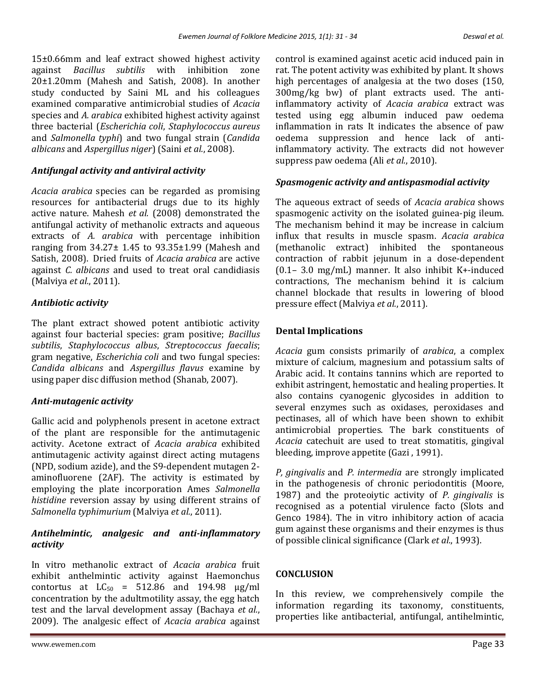15±0.66mm and leaf extract showed highest activity against *Bacillus subtilis* with inhibition zone 20±1.20mm (Mahesh and Satish, 2008). In another study conducted by Saini ML and his colleagues examined comparative antimicrobial studies of *Acacia* species and *A. arabica* exhibited highest activity against three bacterial (*Escherichia coli*, *Staphylococcus aureus* and *Salmonella typhi*) and two fungal strain (*Candida albicans* and *Aspergillus niger*) (Saini *et al.*, 2008).

# *Antifungal activity and antiviral activity*

*Acacia arabica* species can be regarded as promising resources for antibacterial drugs due to its highly active nature. Mahesh *et al.* (2008) demonstrated the antifungal activity of methanolic extracts and aqueous extracts of *A. arabica* with percentage inhibition ranging from 34.27± 1.45 to 93.35±1.99 (Mahesh and Satish, 2008). Dried fruits of *Acacia arabica* are active against *C. albicans* and used to treat oral candidiasis (Malviya *et al.*, 2011).

# *Antibiotic activity*

The plant extract showed potent antibiotic activity against four bacterial species: gram positive; *Bacillus subtilis*, *Staphylococcus albus*, *Streptococcus faecalis*; gram negative, *Escherichia coli* and two fungal species: *Candida albicans* and *Aspergillus flavus* examine by using paper disc diffusion method (Shanab, 2007).

# *Anti-mutagenic activity*

Gallic acid and polyphenols present in acetone extract of the plant are responsible for the antimutagenic activity. Acetone extract of *Acacia arabica* exhibited antimutagenic activity against direct acting mutagens (NPD, sodium azide), and the S9-dependent mutagen 2 aminofluorene (2AF). The activity is estimated by employing the plate incorporation Ames *Salmonella histidine* reversion assay by using different strains of *Salmonella typhimurium* (Malviya *et al.*, 2011).

# *Antihelmintic, analgesic and anti-inflammatory activity*

In vitro methanolic extract of *Acacia arabica* fruit exhibit anthelmintic activity against Haemonchus contortus at  $LC_{50}$  = 512.86 and 194.98  $\mu$ g/ml concentration by the adultmotility assay, the egg hatch test and the larval development assay (Bachaya *et al.*, 2009). The analgesic effect of *Acacia arabica* against control is examined against acetic acid induced pain in rat. The potent activity was exhibited by plant. It shows high percentages of analgesia at the two doses (150, 300mg/kg bw) of plant extracts used. The antiinflammatory activity of *Acacia arabica* extract was tested using egg albumin induced paw oedema inflammation in rats It indicates the absence of paw oedema suppression and hence lack of antiinflammatory activity. The extracts did not however suppress paw oedema (Ali *et al.*, 2010).

# *Spasmogenic activity and antispasmodial activity*

The aqueous extract of seeds of *Acacia arabica* shows spasmogenic activity on the isolated guinea-pig ileum. The mechanism behind it may be increase in calcium influx that results in muscle spasm. *Acacia arabica*  (methanolic extract) inhibited the spontaneous contraction of rabbit jejunum in a dose-dependent (0.1– 3.0 mg/mL) manner. It also inhibit K+-induced contractions, The mechanism behind it is calcium channel blockade that results in lowering of blood pressure effect (Malviya *et al.*, 2011).

# **Dental Implications**

*Acacia* gum consists primarily of *arabica*, a complex mixture of calcium, magnesium and potassium salts of Arabic acid. It contains tannins which are reported to exhibit astringent, hemostatic and healing properties. It also contains cyanogenic glycosides in addition to several enzymes such as oxidases, peroxidases and pectinases, all of which have been shown to exhibit antimicrobial properties. The bark constituents of *Acacia* catechuit are used to treat stomatitis, gingival bleeding, improve appetite (Gazi , 1991).

*P, gingivalis* and *P. intermedia* are strongly implicated in the pathogenesis of chronic periodontitis (Moore, 1987) and the proteoiytic activity of *P. gingivalis* is recognised as a potential virulence facto (Slots and Genco 1984). The in vitro inhibitory action of acacia gum against these organisms and their enzymes is thus of possible clinical significance (Clark *et al.*, 1993).

# **CONCLUSION**

In this review, we comprehensively compile the information regarding its taxonomy, constituents, properties like antibacterial, antifungal, antihelmintic,